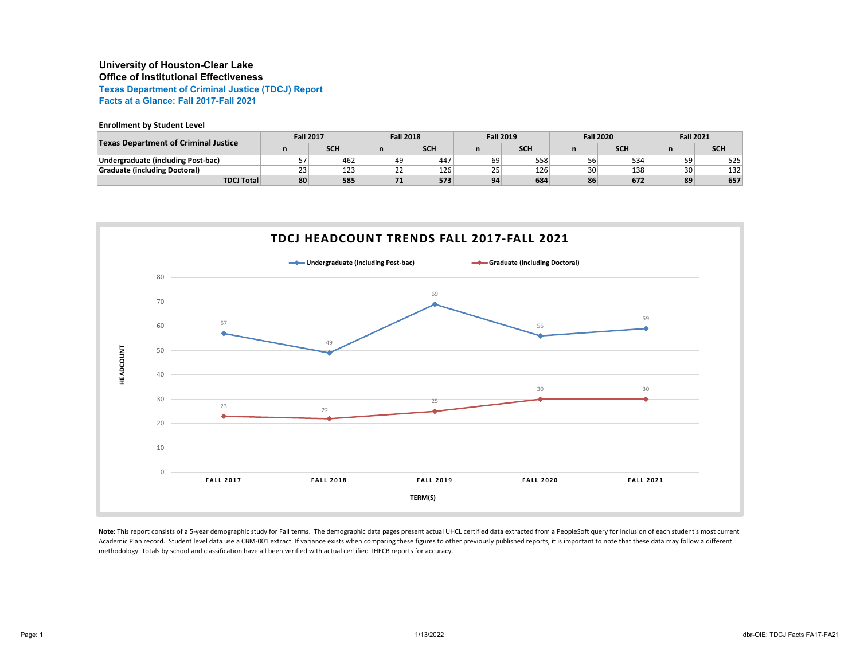# **University of Houston-Clear Lake Office of Institutional Effectiveness**

**Texas Department of Criminal Justice (TDCJ) Report Facts at a Glance: Fall 2017-Fall 2021**

### **Enrollment by Student Level**

| <b>Texas Department of Criminal Justice</b> | <b>Fall 2017</b> |            | <b>Fall 2018</b> |     | <b>Fall 2019</b> |            | <b>Fall 2020</b> |     | <b>Fall 2021</b> |            |
|---------------------------------------------|------------------|------------|------------------|-----|------------------|------------|------------------|-----|------------------|------------|
|                                             |                  | <b>SCH</b> |                  | SCH |                  | <b>SCH</b> |                  | SCH |                  | <b>SCH</b> |
| Undergraduate (including Post-bac)          |                  | 462        | 49               | 447 | 69               | 558        | 56               | 534 | 59               | 525        |
| <b>Graduate (including Doctoral)</b>        | 23               | 123        | つつ<br><u>__</u>  | 126 | 25               | 126        | 30               | 138 | 30 <sub>1</sub>  | 132        |
| <b>TDCJ Total</b>                           | 80               | 585        | 74<br>71         | 573 | 94               | 684        | 86               | 672 | 89               | 657        |



Note: This report consists of a 5-year demographic study for Fall terms. The demographic data pages present actual UHCL certified data extracted from a PeopleSoft query for inclusion of each student's most current Academic Plan record. Student level data use a CBM-001 extract. If variance exists when comparing these figures to other previously published reports, it is important to note that these data may follow a different methodology. Totals by school and classification have all been verified with actual certified THECB reports for accuracy.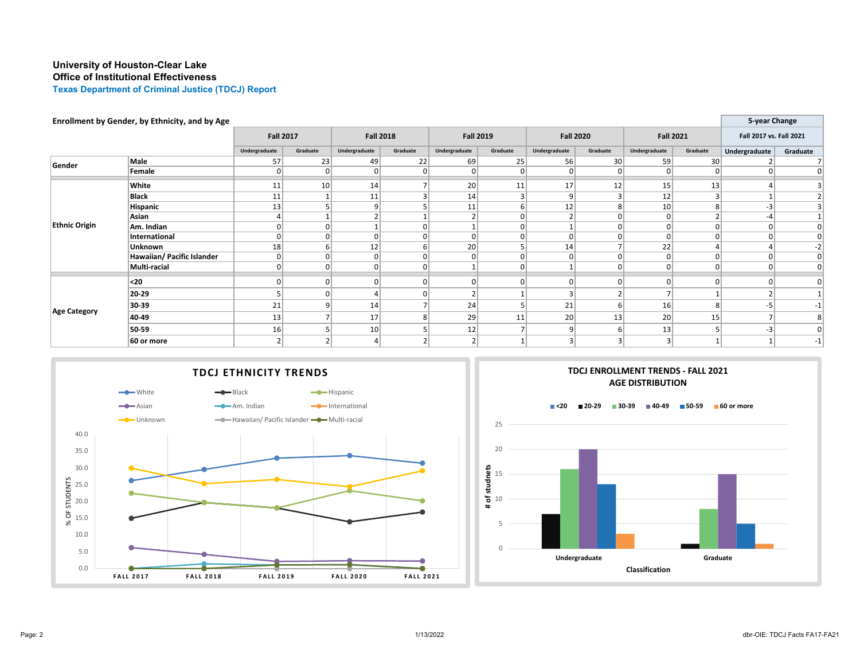# **University of Houston-Clear Lake Office of Institutional Effectiveness**

**Texas Department of Criminal Justice (TDCJ) Report**

| Enrollment by Gender, by Ethnicity, and by Age |                            |                  |          |                  |             |                  |          |                  |                 |                  | 5-year Change   |                         |                |
|------------------------------------------------|----------------------------|------------------|----------|------------------|-------------|------------------|----------|------------------|-----------------|------------------|-----------------|-------------------------|----------------|
|                                                |                            | <b>Fall 2017</b> |          | <b>Fall 2018</b> |             | <b>Fall 2019</b> |          | <b>Fall 2020</b> |                 | <b>Fall 2021</b> |                 | Fall 2017 vs. Fall 2021 |                |
|                                                |                            | Undergraduate    | Graduate | Undergraduate    | Graduate    | Undergraduate    | Graduate | Undergraduate    | Graduate        | Undergraduate    | Graduate        | Undergraduate           | Graduate       |
| Gender                                         | Male                       | 57               | 23       | -49              | 22          | 69               | 25       | 56               | 30 <sup>1</sup> | 59               | 30 <sup>2</sup> |                         |                |
|                                                | Female                     |                  |          |                  |             | 0                |          |                  |                 |                  | $\overline{0}$  |                         |                |
|                                                | White                      | 11               | 10       | 14               |             | 20               | 11       | 17               | 12              | 15               | 13              |                         |                |
|                                                | <b>Black</b>               | 11               |          | 11               |             | 14               |          | $\overline{9}$   |                 | 12               |                 |                         |                |
| <b>Ethnic Origin</b>                           | Hispanic                   | 13               |          | $\Omega$         |             | 11               |          | 12               |                 | 10               |                 | -3                      |                |
|                                                | Asian                      | 4                |          |                  |             |                  |          |                  | 0               | 0                | z               | -4                      |                |
|                                                | Am. Indian                 | 0                | $\Omega$ |                  | $\Omega$    |                  |          |                  | 0               |                  | 0               | $\overline{0}$          |                |
|                                                | International              | 0                |          |                  | $\mathbf 0$ | 0                |          | $\overline{0}$   |                 |                  | $\overline{0}$  | 0                       | $\overline{0}$ |
|                                                | Unknown                    | 18               |          | 12               | 6           | 20 <sup>2</sup>  |          | 14               |                 | 22               |                 |                         | $-2$           |
|                                                | Hawaiian/ Pacific Islander | 0                |          |                  | 0           |                  |          |                  |                 |                  | $\overline{0}$  | O                       | 0              |
|                                                | Multi-racial               | 0                |          |                  | 0           |                  |          |                  |                 |                  | $\overline{0}$  | 0                       | 0              |
|                                                | $20$                       | $\Omega$         |          | U                | 0           | 0                |          | $\Omega$         |                 |                  | $\Omega$        | $\Omega$                | 0              |
| <b>Age Category</b>                            | 20-29                      |                  |          |                  |             |                  |          |                  |                 |                  |                 |                         |                |
|                                                | 30-39                      | 21               |          | 14               |             | 24               |          | 21               |                 | 16               |                 | -5                      |                |
|                                                | 40-49                      | 13               |          | 17               | 8           | 29               | 11       | 20               | 13              | 20               | 15              |                         |                |
|                                                | 50-59                      | 16               |          | 10 <sup>1</sup>  |             | 12               |          | $\overline{9}$   | 6               | 13               | 5               | -3                      | 0              |
|                                                | 60 or more                 |                  |          |                  |             |                  |          | 3                |                 | 3                |                 |                         | $-1$           |



# $\overline{0}$ 5 10 15 20 25 **TDCJ ENROLLMENT TRENDS - FALL 2021 AGE DISTRIBUTION <20 20-29 30-39 40-49 50-59 60 or more**

**Undergraduate Graduate**

**Classification**

**# of studnets**

 $\ddot{}$